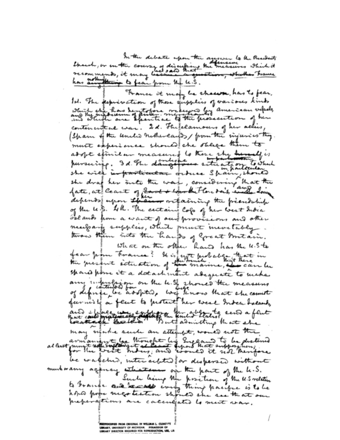In the debate upon the answer to the Prosidents Shown, or on the course of discussing the measures which it<br>recommends, it may because the question, who has brance has account the to fear from the u.S.

France it many be chawn, has to fear, Id. The perprevation of those equippers of various kinds which she has bento fore mothers by american velocks, contenent at war. I.d. The felamours of her aclies (Sham of the united nother early from the sinjuries they. must experience should she stilige them to adopt stinit in measured to these situation to which pursuing. 3 d. The daugetous settled to which fate, at Ceast of coort + worker there does, evile down depends upon the in ortaining the president of the U.S. 4k. The certains Cops of her west India Folands from a want of our provisions and other neufrants suppless, which prenet mevetably twas them into the hands of Great Britain. What on the other have has the u.s.t. fear from France? It is furt probably that in spared point it a datachment adequate to make any infusion on the 4.9, 2 hours the measures furnish a feut to protect her west Indee Islands, and effect we explore the coberato send a feut may significe send an attempt, womed not the al least must not the thought his England to be distined be walched, interacted for dispersed without murkwany againcy whatsoe and the part of the k.S. to brance and recall inity thing pacific is to be preparations are calculated to must was.

RODOPIED FROM OBIGINAL IN WILLIAM L. CLEMI<br>WIY, UNIVERSITY OF MICHIGAN. PERMISSION C<br>WIY DIRECTOR REQUIRED FOR REPRODUCTION, L